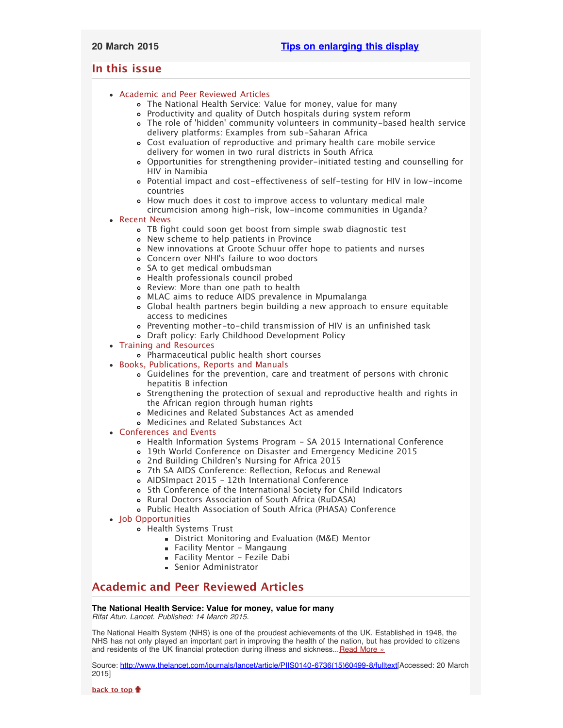# <span id="page-0-3"></span><span id="page-0-2"></span>**In this issue**

- [Academic and Peer Reviewed Articles](#page-0-0)
	- [The National Health Service: Value for money, value for many](#page-0-1)
	- [Productivity and quality of Dutch hospitals during system reform](#page-1-0)
	- The role of ['hidden' community volunteers in community-based health service](#page-1-1) [delivery platforms: Examples from sub-Saharan Africa](#page-1-1)
	- [Cost evaluation of reproductive and primary health care mobile service](#page-1-2) [delivery for women in two rural districts in South Africa](#page-1-2)
	- [Opportunities for strengthening provider-initiated testing and counselling for](#page-1-3) [HIV in Namibia](#page-1-3)
	- [Potential impact and cost-effectiveness of self-testing for HIV in low-income](#page-1-4) [countries](#page-1-4)
	- [How much does it cost to improve access to voluntary medical male](#page-1-5) [circumcision among high-risk, low-income communities in Uganda?](#page-1-5)

# [Recent News](#page-1-6)

- [TB fight could soon get boost from simple swab diagnostic test](#page-1-7)
- [New scheme to help patients in Province](#page-2-0)
- [New innovations at Groote Schuur offer hope to patients and nurses](#page-2-1)
- Concern over NHI['s failure to woo doctors](#page-2-2)
- [SA to get medical ombudsman](#page-2-3)
- [Health professionals council probed](#page-2-4)
- [Review: More than one path to health](#page-2-5)
- [MLAC aims to reduce AIDS prevalence in Mpumalanga](#page-2-6)
- [Global health partners begin building a new approach to ensure equitable](#page-3-0) [access to medicines](#page-3-0)
- [Preventing mother-to-child transmission of HIV is an unfinished task](#page-3-1)
- [Draft policy: Early Childhood Development Policy](#page-3-2)
- [Training and Resources](#page-3-3)
	- [Pharmaceutical public health short courses](#page-3-4)
- [Books, Publications, Reports and Manuals](#page-3-5)
	- [Guidelines for the prevention, care and treatment of persons with chronic](#page-3-6) [hepatitis B infection](#page-3-6)
	- [Strengthening the protection of sexual and reproductive health and rights in](#page-3-7) [the African region through human rights](#page-3-7)
	- [Medicines and Related Substances Act as amended](#page-4-0)
	- [Medicines and Related Substances Act](#page-4-1)
- [Conferences and Events](#page-4-2)
	- [Health Information Systems Program SA 2015 International Conference](#page-4-3)
	- [19th World Conference on Disaster and Emergency Medicine 2015](#page-4-4)
	- 2nd Building Children['s Nursing for Africa 2015](#page-4-5)
	- [7th SA AIDS Conference: Reflection, Refocus and Renewal](#page-4-6)
	- [AIDSImpact 2015 12th International Conference](#page-4-7)
	- [5th Conference of the International Society for Child Indicators](#page-5-0)
	- [Rural Doctors Association of South Africa \(RuDASA\)](#page-5-1)
	- [Public Health Association of South Africa \(PHASA\) Conference](#page-5-2)
- [Job Opportunities](#page-5-3)
	- [Health Systems Trust](#page-5-4)
		- [District Monitoring and Evaluation \(M&E\) Mentor](#page-0-2)
		- **[Facility Mentor Mangaung](#page-0-2)**
		- [Facility Mentor Fezile Dabi](#page-0-2)
		- **[Senior Administrator](#page-0-2)**

# <span id="page-0-0"></span>**Academic and Peer Reviewed Articles**

# <span id="page-0-1"></span>**The National Health Service: Value for money, value for many**

*Rifat Atun. Lancet. Published: 14 March 2015.*

The National Health System (NHS) is one of the proudest achievements of the UK. Established in 1948, the NHS has not only played an important part in improving the health of the nation, but has provided to citizens and residents of the UK financial protection during illness and sickness... [Read More »](http://www.thelancet.com/journals/lancet/article/PIIS0140-6736(15)60499-8/fulltext)

Source: [http://www.thelancet.com/journals/lancet/article/PIIS0140-6736\(15\)60499-8/fulltext\[](http://www.thelancet.com/journals/lancet/article/PIIS0140-6736(15)60499-8/fulltext)Accessed: 20 March 2015]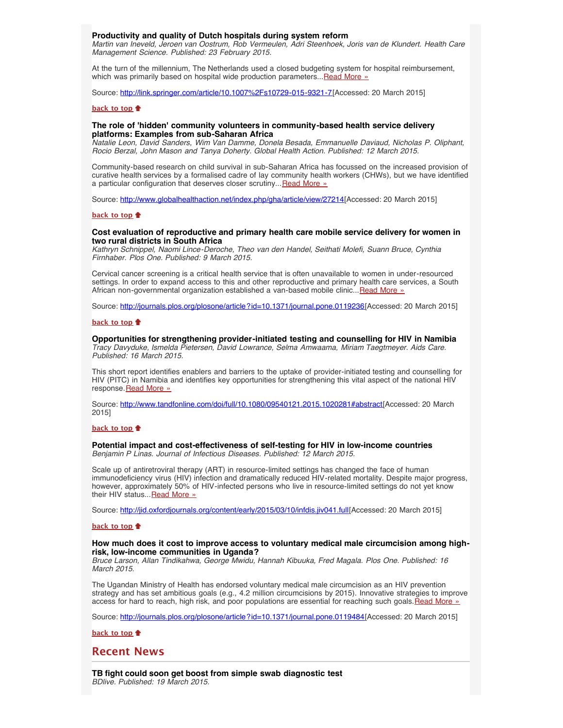# <span id="page-1-0"></span>**Productivity and quality of Dutch hospitals during system reform**

*Martin van Ineveld, Jeroen van Oostrum, Rob Vermeulen, Adri Steenhoek, Joris van de Klundert. Health Care Management Science. Published: 23 February 2015.*

At the turn of the millennium, The Netherlands used a closed budgeting system for hospital reimbursement, which was primarily based on hospital wide production parameters... [Read More »](http://link.springer.com/article/10.1007%2Fs10729-015-9321-7)

Source: [http://link.springer.com/article/10.1007%2Fs10729-015-9321-7\[](http://link.springer.com/article/10.1007%2Fs10729-015-9321-7)Accessed: 20 March 2015]

#### **[back to top](#page-0-3)**

## <span id="page-1-1"></span>**The role of 'hidden' community volunteers in community-based health service delivery platforms: Examples from sub-Saharan Africa**

*Natalie Leon, David Sanders, Wim Van Damme, Donela Besada, Emmanuelle Daviaud, Nicholas P. Oliphant, Rocio Berzal, John Mason and Tanya Doherty. Global Health Action. Published: 12 March 2015.*

Community-based research on child survival in sub-Saharan Africa has focussed on the increased provision of curative health services by a formalised cadre of lay community health workers (CHWs), but we have identified a particular configuration that deserves closer scrutiny... [Read More »](http://www.globalhealthaction.net/index.php/gha/article/view/27214)

Source: [http://www.globalhealthaction.net/index.php/gha/article/view/27214\[](http://www.globalhealthaction.net/index.php/gha/article/view/27214)Accessed: 20 March 2015]

## **[back to top](#page-0-3)**

### <span id="page-1-2"></span>**Cost evaluation of reproductive and primary health care mobile service delivery for women in two rural districts in South Africa**

*Kathryn Schnippel, Naomi Lince-Deroche, Theo van den Handel, Seithati Molefi, Suann Bruce, Cynthia Firnhaber. Plos One. Published: 9 March 2015.*

Cervical cancer screening is a critical health service that is often unavailable to women in under-resourced settings. In order to expand access to this and other reproductive and primary health care services, a South African non-governmental organization established a van-based mobile clinic... [Read More »](http://journals.plos.org/plosone/article?id=10.1371/journal.pone.0119236)

Source: <http://journals.plos.org/plosone/article?id=10.1371/journal.pone.0119236>[Accessed: 20 March 2015]

### **[back to top](#page-0-3)**

# <span id="page-1-3"></span>**Opportunities for strengthening provider-initiated testing and counselling for HIV in Namibia**

*Tracy Davyduke, Ismelda Pietersen, David Lowrance, Selma Amwaama, Miriam Taegtmeyer. Aids Care. Published: 16 March 2015.*

This short report identifies enablers and barriers to the uptake of provider-initiated testing and counselling for HIV (PITC) in Namibia and identifies key opportunities for strengthening this vital aspect of the national HIV response [Read More »](http://www.tandfonline.com/doi/full/10.1080/09540121.2015.1020281#abstract)

Source: [http://www.tandfonline.com/doi/full/10.1080/09540121.2015.1020281#abstract\[](http://www.tandfonline.com/doi/full/10.1080/09540121.2015.1020281#abstract)Accessed: 20 March 2015]

#### **[back to top](#page-0-3)**

# <span id="page-1-4"></span>**Potential impact and cost-effectiveness of self-testing for HIV in low-income countries**

*Benjamin P Linas. Journal of Infectious Diseases. Published: 12 March 2015.*

Scale up of antiretroviral therapy (ART) in resource-limited settings has changed the face of human immunodeficiency virus (HIV) infection and dramatically reduced HIV-related mortality. Despite major progress, however, approximately 50% of HIV-infected persons who live in resource-limited settings do not yet know their HIV status... [Read More »](http://jid.oxfordjournals.org/content/early/2015/03/10/infdis.jiv041.full)

Source: [http://jid.oxfordjournals.org/content/early/2015/03/10/infdis.jiv041.full\[](http://jid.oxfordjournals.org/content/early/2015/03/10/infdis.jiv041.full)Accessed: 20 March 2015]

# **[back to top](#page-0-3)**

#### <span id="page-1-5"></span>**How much does it cost to improve access to voluntary medical male circumcision among highrisk, low-income communities in Uganda?**

*Bruce Larson, Allan Tindikahwa, George Mwidu, Hannah Kibuuka, Fred Magala. Plos One. Published: 16 March 2015.*

The Ugandan Ministry of Health has endorsed voluntary medical male circumcision as an HIV prevention strategy and has set ambitious goals (e.g., 4.2 million circumcisions by 2015). Innovative strategies to improve access for hard to reach, high risk, and poor populations are essential for reaching such goals. [Read More »](http://journals.plos.org/plosone/article?id=10.1371/journal.pone.0119484)

Source: <http://journals.plos.org/plosone/article?id=10.1371/journal.pone.0119484>[Accessed: 20 March 2015]

#### **[back to top](#page-0-3)**

# <span id="page-1-6"></span>**Recent News**

<span id="page-1-7"></span>**TB fight could soon get boost from simple swab diagnostic test** *BDlive. Published: 19 March 2015.*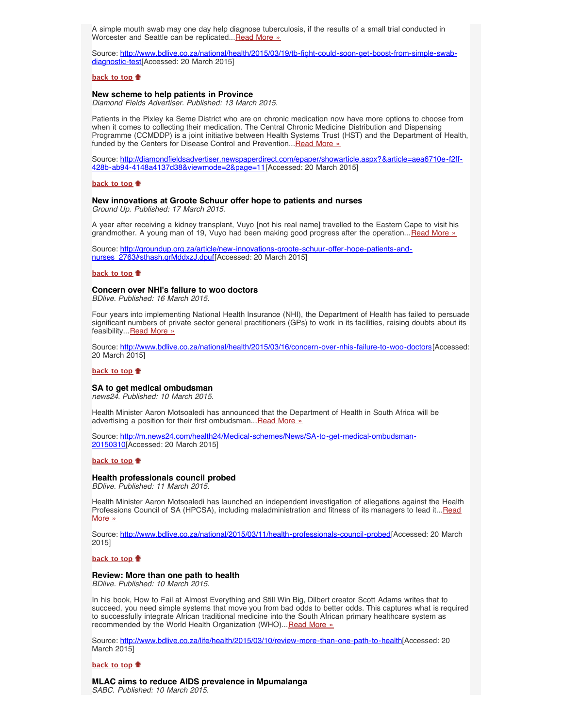A simple mouth swab may one day help diagnose tuberculosis, if the results of a small trial conducted in Worcester and Seattle can be replicated... [Read More »](http://www.hst.org.za/news/tb-fight-could-soon-get-boost-simple-swab-diagnostic-test)

Source: [http://www.bdlive.co.za/national/health/2015/03/19/tb-fight-could-soon-get-boost-from-simple-swab](http://www.bdlive.co.za/national/health/2015/03/19/tb-fight-could-soon-get-boost-from-simple-swab-diagnostic-test)[diagnostic-test](http://www.bdlive.co.za/national/health/2015/03/19/tb-fight-could-soon-get-boost-from-simple-swab-diagnostic-test)[Accessed: 20 March 2015]

#### **[back to top](#page-0-3)**

#### <span id="page-2-0"></span>**New scheme to help patients in Province**

*Diamond Fields Advertiser. Published: 13 March 2015.*

Patients in the Pixley ka Seme District who are on chronic medication now have more options to choose from when it comes to collecting their medication. The Central Chronic Medicine Distribution and Dispensing Programme (CCMDDP) is a joint initiative between Health Systems Trust (HST) and the Department of Health, funded by the Centers for Disease Control and Prevention... Read More »

Source: [http://diamondfieldsadvertiser.newspaperdirect.com/epaper/showarticle.aspx?&article=aea6710e-f2ff-](http://diamondfieldsadvertiser.newspaperdirect.com/epaper/showarticle.aspx?&article=aea6710e-f2ff-428b-ab94-4148a4137d38&viewmode=2&page=11)[428b-ab94-4148a4137d38&viewmode=2&page=11](http://diamondfieldsadvertiser.newspaperdirect.com/epaper/showarticle.aspx?&article=aea6710e-f2ff-428b-ab94-4148a4137d38&viewmode=2&page=11)[Accessed: 20 March 2015]

#### **[back to top](#page-0-3)**

#### <span id="page-2-1"></span>**New innovations at Groote Schuur offer hope to patients and nurses**

*Ground Up. Published: 17 March 2015.*

A year after receiving a kidney transplant, Vuyo [not his real name] travelled to the Eastern Cape to visit his grandmother. A young man of 19, Vuyo had been making good progress after the operation... [Read More »](http://www.hst.org.za/news/innovations-groote-schuur-offer-hope-patients-and-nurses)

Source: [http://groundup.org.za/article/new-innovations-groote-schuur-offer-hope-patients-and](http://groundup.org.za/article/new-innovations-groote-schuur-offer-hope-patients-and-nurses_2763#sthash.qrMddxzJ.dpuf)[nurses\\_2763#sthash.qrMddxzJ.dpuf\[](http://groundup.org.za/article/new-innovations-groote-schuur-offer-hope-patients-and-nurses_2763#sthash.qrMddxzJ.dpuf)Accessed: 20 March 2015]

#### **[back to top](#page-0-3)**

### <span id="page-2-2"></span>**Concern over NHI's failure to woo doctors**

*BDlive. Published: 16 March 2015.*

Four years into implementing National Health Insurance (NHI), the Department of Health has failed to persuade significant numbers of private sector general practitioners (GPs) to work in its facilities, raising doubts about its feasibility... [Read More »](http://www.hst.org.za/news/concern-over-nhi-s-failure-woo-doctors)

Source: [http://www.bdlive.co.za/national/health/2015/03/16/concern-over-nhis-failure-to-woo-doctors\[](http://www.bdlive.co.za/national/health/2015/03/16/concern-over-nhis-failure-to-woo-doctors)Accessed: 20 March 2015]

#### **[back to top](#page-0-3)**

# <span id="page-2-3"></span>**SA to get medical ombudsman**

*news24. Published: 10 March 2015.*

Health Minister Aaron Motsoaledi has announced that the Department of Health in South Africa will be advertising a position for their first ombudsman... [Read More »](http://www.hst.org.za/news/sa-get-medical-ombudsman)

Source: [http://m.news24.com/health24/Medical-schemes/News/SA-to-get-medical-ombudsman-](http://m.news24.com/health24/Medical-schemes/News/SA-to-get-medical-ombudsman-20150310)[20150310\[](http://m.news24.com/health24/Medical-schemes/News/SA-to-get-medical-ombudsman-20150310)Accessed: 20 March 2015]

#### **[back to top](#page-0-3)**

#### <span id="page-2-4"></span>**Health professionals council probed**

*BDlive. Published: 11 March 2015.*

Health Minister Aaron Motsoaledi has launched an independent investigation of allegations against the Health Professions Council of SA (HPCSA), including maladministration and fitness of its managers to lead it... [Read](http://www.hst.org.za/news/health-professionals-council-probed) [More »](http://www.hst.org.za/news/health-professionals-council-probed)

Source: [http://www.bdlive.co.za/national/2015/03/11/health-professionals-council-probed\[](http://www.bdlive.co.za/national/2015/03/11/health-professionals-council-probed)Accessed: 20 March 2015]

**[back to top](#page-0-3)**

# <span id="page-2-5"></span>**Review: More than one path to health**

*BDlive. Published: 10 March 2015.*

In his book, How to Fail at Almost Everything and Still Win Big, Dilbert creator Scott Adams writes that to succeed, you need simple systems that move you from bad odds to better odds. This captures what is required to successfully integrate African traditional medicine into the South African primary healthcare system as recommended by the World Health Organization (WHO)... [Read More »](http://www.bdlive.co.za/life/health/2015/03/10/review-more-than-one-path-to-health)

Source: [http://www.bdlive.co.za/life/health/2015/03/10/review-more-than-one-path-to-health\[](http://www.bdlive.co.za/life/health/2015/03/10/review-more-than-one-path-to-health)Accessed: 20 March 2015]

#### **[back to top](#page-0-3)**

# <span id="page-2-6"></span>**MLAC aims to reduce AIDS prevalence in Mpumalanga**

*SABC. Published: 10 March 2015.*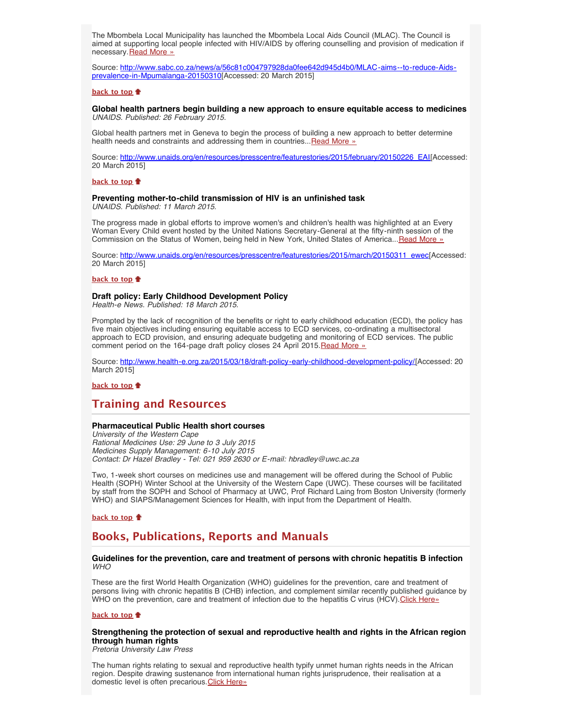The Mbombela Local Municipality has launched the Mbombela Local Aids Council (MLAC). The Council is aimed at supporting local people infected with HIV/AIDS by offering counselling and provision of medication if necessary. [Read More »](http://www.hst.org.za/news/mlac-aims-reduce-aids-prevalence-mpumalanga)

Source: [http://www.sabc.co.za/news/a/56c81c004797928da0fee642d945d4b0/MLAC-aims--to-reduce-Aids](http://www.sabc.co.za/news/a/56c81c004797928da0fee642d945d4b0/MLAC-aims--to-reduce-Aids-prevalence-in-Mpumalanga-20150310)[prevalence-in-Mpumalanga-20150310](http://www.sabc.co.za/news/a/56c81c004797928da0fee642d945d4b0/MLAC-aims--to-reduce-Aids-prevalence-in-Mpumalanga-20150310)[Accessed: 20 March 2015]

#### **[back to top](#page-0-3)**

#### <span id="page-3-0"></span>**Global health partners begin building a new approach to ensure equitable access to medicines** *UNAIDS. Published: 26 February 2015.*

Global health partners met in Geneva to begin the process of building a new approach to better determine health needs and constraints and addressing them in countries... [Read More »](http://www.unaids.org/en/resources/presscentre/featurestories/2015/february/20150226_EAI)

Source: [http://www.unaids.org/en/resources/presscentre/featurestories/2015/february/20150226\\_EAI\[](http://www.unaids.org/en/resources/presscentre/featurestories/2015/february/20150226_EAI)Accessed: 20 March 2015]

# **[back to top](#page-0-3)**

# <span id="page-3-1"></span>**Preventing mother-to-child transmission of HIV is an unfinished task**

*UNAIDS. Published: 11 March 2015.*

The progress made in global efforts to improve women's and children's health was highlighted at an Every Woman Every Child event hosted by the United Nations Secretary-General at the fifty-ninth session of the Commission on the Status of Women, being held in New York, United States of America... [Read More »](http://www.unaids.org/en/resources/presscentre/featurestories/2015/march/20150311_ewec)

Source: [http://www.unaids.org/en/resources/presscentre/featurestories/2015/march/20150311\\_ewec\[](http://www.unaids.org/en/resources/presscentre/featurestories/2015/march/20150311_ewec)Accessed: 20 March 2015]

### **[back to top](#page-0-3)**

#### <span id="page-3-2"></span>**Draft policy: Early Childhood Development Policy**

*Health-e News. Published: 18 March 2015.*

Prompted by the lack of recognition of the benefits or right to early childhood education (ECD), the policy has five main objectives including ensuring equitable access to ECD services, co-ordinating a multisectoral approach to ECD provision, and ensuring adequate budgeting and monitoring of ECD services. The public comment period on the 164-page draft policy closes 24 April 2015. [Read More »](http://www.hst.org.za/news/draft-policy-early-childhood-development-policy)

Source: [http://www.health-e.org.za/2015/03/18/draft-policy-early-childhood-development-policy/\[](http://www.health-e.org.za/2015/03/18/draft-policy-early-childhood-development-policy/)Accessed: 20 March 2015]

# **[back to top](#page-0-3)**

# <span id="page-3-3"></span>**Training and Resources**

### <span id="page-3-4"></span>**Pharmaceutical Public Health short courses**

*University of the Western Cape Rational Medicines Use: 29 June to 3 July 2015 Medicines Supply Management: 6-10 July 2015 Contact: Dr Hazel Bradley - Tel: 021 959 2630 or E-mail: hbradley@uwc.ac.za*

Two, 1-week short courses on medicines use and management will be offered during the School of Public Health (SOPH) Winter School at the University of the Western Cape (UWC). These courses will be facilitated by staff from the SOPH and School of Pharmacy at UWC, Prof Richard Laing from Boston University (formerly WHO) and SIAPS/Management Sciences for Health, with input from the Department of Health.

## **[back to top](#page-0-3)**

# <span id="page-3-5"></span>**Books, Publications, Reports and Manuals**

# <span id="page-3-6"></span>**Guidelines for the prevention, care and treatment of persons with chronic hepatitis B infection** *WHO*

These are the first World Health Organization (WHO) guidelines for the prevention, care and treatment of persons living with chronic hepatitis B (CHB) infection, and complement similar recently published guidance by WHO on the prevention, care and treatment of infection due to the hepatitis C virus (HCV). [Click Here»](http://www.who.int/hiv/pub/hepatitis/hepatitis-b-guidelines/en/)

#### **[back to top](#page-0-3)**

<span id="page-3-7"></span>**Strengthening the protection of sexual and reproductive health and rights in the African region through human rights**

*Pretoria University Law Press*

The human rights relating to sexual and reproductive health typify unmet human rights needs in the African region. Despite drawing sustenance from international human rights jurisprudence, their realisation at a domestic level is often precarious. [Click Here»](http://www.pulp.up.ac.za/pdf/2014_14/2014_14.pdf)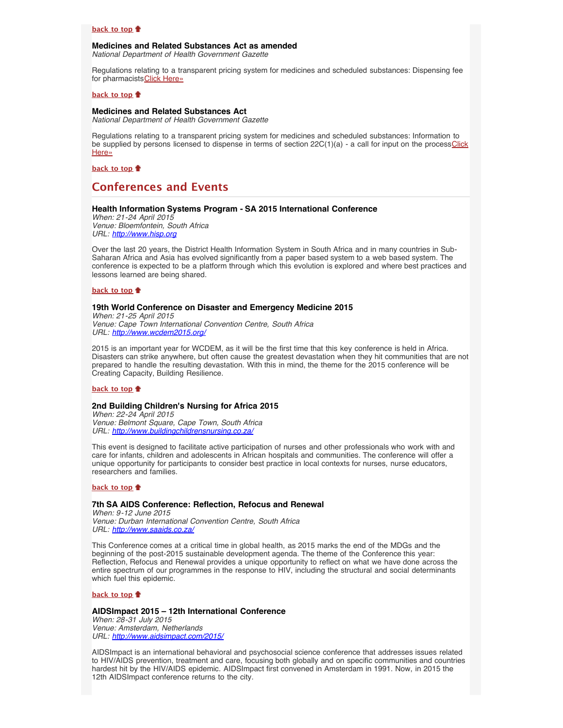# **[back to top](#page-0-3)**

# <span id="page-4-0"></span>**Medicines and Related Substances Act as amended**

*National Department of Health Government Gazette*

Regulations relating to a transparent pricing system for medicines and scheduled substances: Dispensing fee for pharmacists [Click Here»](http://www.gov.za/sites/www.gov.za/files/38566_gon211.pdf)

# **[back to top](#page-0-3)**

## <span id="page-4-1"></span>**Medicines and Related Substances Act**

*National Department of Health Government Gazette*

Regulations relating to a transparent pricing system for medicines and scheduled substances: Information to be supplied by persons licensed to dispense in terms of section  $22C(1)(a)$  - a call for input on the process [Click](http://www.gov.za/sites/www.gov.za/files/38567_gen233.pdf) [Here»](http://www.gov.za/sites/www.gov.za/files/38567_gen233.pdf)

**[back to top](#page-0-3)**

# <span id="page-4-2"></span>**Conferences and Events**

# <span id="page-4-3"></span>**Health Information Systems Program - SA 2015 International Conference**

*When: 21-24 April 2015 Venue: Bloemfontein, South Africa URL: [http://www.hisp.org](http://www.hisp.org/)*

Over the last 20 years, the District Health Information System in South Africa and in many countries in Sub-Saharan Africa and Asia has evolved significantly from a paper based system to a web based system. The conference is expected to be a platform through which this evolution is explored and where best practices and lessons learned are being shared.

#### **[back to top](#page-0-3)**

#### <span id="page-4-4"></span>**19th World Conference on Disaster and Emergency Medicine 2015**

*When: 21-25 April 2015 Venue: Cape Town International Convention Centre, South Africa URL: <http://www.wcdem2015.org/>*

2015 is an important year for WCDEM, as it will be the first time that this key conference is held in Africa. Disasters can strike anywhere, but often cause the greatest devastation when they hit communities that are not prepared to handle the resulting devastation. With this in mind, the theme for the 2015 conference will be Creating Capacity, Building Resilience.

#### **[back to top](#page-0-3)**

#### <span id="page-4-5"></span>**2nd Building Children's Nursing for Africa 2015**

*When: 22-24 April 2015 Venue: Belmont Square, Cape Town, South Africa URL: <http://www.buildingchildrensnursing.co.za/>*

This event is designed to facilitate active participation of nurses and other professionals who work with and care for infants, children and adolescents in African hospitals and communities. The conference will offer a unique opportunity for participants to consider best practice in local contexts for nurses, nurse educators, researchers and families.

### **[back to top](#page-0-3)**

# <span id="page-4-6"></span>**7th SA AIDS Conference: Reflection, Refocus and Renewal**

*When: 9-12 June 2015 Venue: Durban International Convention Centre, South Africa URL: <http://www.saaids.co.za/>*

This Conference comes at a critical time in global health, as 2015 marks the end of the MDGs and the beginning of the post-2015 sustainable development agenda. The theme of the Conference this year: Reflection, Refocus and Renewal provides a unique opportunity to reflect on what we have done across the entire spectrum of our programmes in the response to HIV, including the structural and social determinants which fuel this epidemic.

#### **[back to top](#page-0-3)**

# <span id="page-4-7"></span>**AIDSImpact 2015 – 12th International Conference**

*When: 28-31 July 2015 Venue: Amsterdam, Netherlands URL: <http://www.aidsimpact.com/2015/>*

AIDSImpact is an international behavioral and psychosocial science conference that addresses issues related to HIV/AIDS prevention, treatment and care, focusing both globally and on specific communities and countries hardest hit by the HIV/AIDS epidemic. AIDSImpact first convened in Amsterdam in 1991. Now, in 2015 the 12th AIDSImpact conference returns to the city.